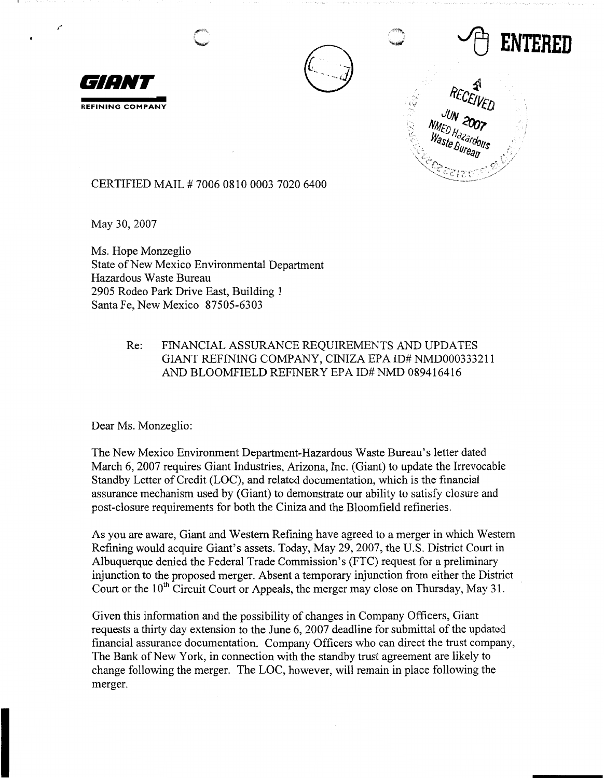



~ **ENTERED** 



CERTIFIED MAIL# 7006 0810 0003 7020 6400

May 30, 2007

Ms. Hope Monzeglio State of New Mexico Environmental Department Hazardous Waste Bureau 2905 Rodeo Park Drive East, Building 1 Santa Fe, New Mexico 87505-6303

## Re: FINANCIAL ASSURANCE REQUIREMENTS AND UPDATES GIANT REFINING COMPANY, CINIZA EPA ID# NMD000333211 AND BLOOMFIELD REFINERY EPA ID# NMD 089416416

Dear Ms. Monzeglio:

The New Mexico Environment Department-Hazardous Waste Bureau's letter dated March 6, 2007 requires Giant Industries, Arizona, Inc. (Giant) to update the Irrevocable Standby Letter of Credit (LOC), and related documentation, which is the financial assurance mechanism used by (Giant) to demonstrate our ability to satisfy closure and post-closure requirements for both the Ciniza and the Bloomfield refineries.

As you are aware, Giant and Western Refining have agreed to a merger in which Western Refining would acquire Giant's assets. Today, May 29, 2007, the U.S. District Court in Albuquerque denied the Federal Trade Commission's (FTC) request for a preliminary injunction to the proposed merger. Absent a temporary injunction from either the District Court or the  $10<sup>th</sup>$  Circuit Court or Appeals, the merger may close on Thursday, May 31.

Given this information and the possibility of changes in Company Officers, Giant requests a thirty day extension to the June 6, 2007 deadline for submittal of the updated financial assurance documentation. Company Officers who can direct the trust company, The Bank of New York, in connection with the standby trust agreement are likely to change following the merger. The LOC, however, will remain in place following the merger.